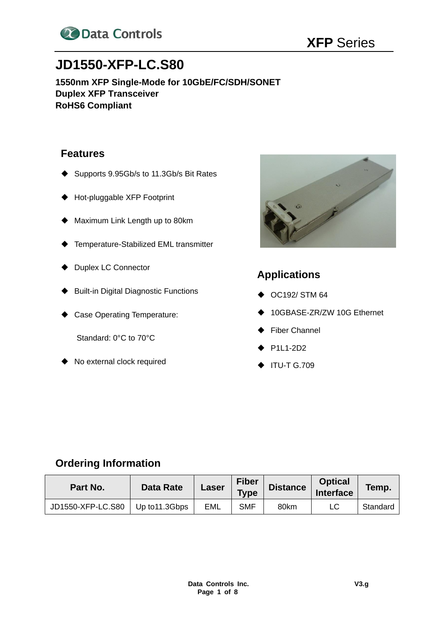

# **JD1550-XFP-LC.S80**

**1550nm XFP Single-Mode for 10GbE/FC/SDH/SONET Duplex XFP Transceiver RoHS6 Compliant**

## **Features**

- ◆ Supports 9.95Gb/s to 11.3Gb/s Bit Rates
- ◆ Hot-pluggable XFP Footprint
- ◆ Maximum Link Length up to 80km
- ◆ Temperature-Stabilized EML transmitter
- ◆ Duplex LC Connector
- ◆ Built-in Digital Diagnostic Functions
- ◆ Case Operating Temperature:

Standard: 0°C to 70°C

◆ No external clock required



# **Applications**

- ◆ OC192/ STM 64
- ◆ 10GBASE-ZR/ZW 10G Ethernet
- ◆ Fiber Channel
- $·$  P1L1-2D2
- ◆ ITU-T G.709

# **Ordering Information**

| Part No.          | <b>Data Rate</b> | Laser | <b>Fiber</b><br><b>Type</b> | <b>Distance</b> | <b>Optical</b><br>Interface | Temp.    |
|-------------------|------------------|-------|-----------------------------|-----------------|-----------------------------|----------|
| JD1550-XFP-LC.S80 | Up to 11.3Gbps   | EML   | <b>SMF</b>                  | 80km            |                             | Standard |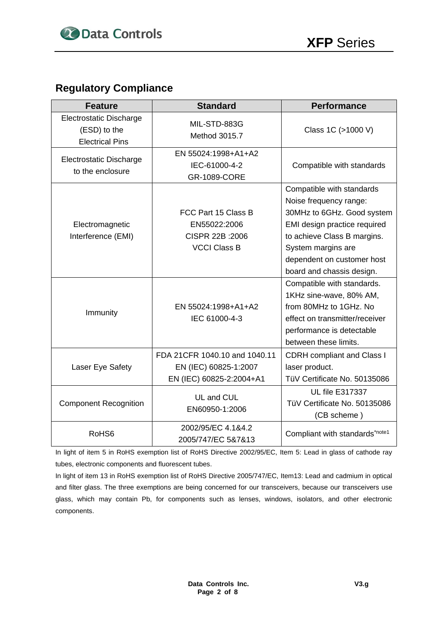# **Regulatory Compliance**

| <b>Feature</b>                                                           | <b>Standard</b>                                                                    | <b>Performance</b>                                                                                                                                                                                                                |
|--------------------------------------------------------------------------|------------------------------------------------------------------------------------|-----------------------------------------------------------------------------------------------------------------------------------------------------------------------------------------------------------------------------------|
| <b>Electrostatic Discharge</b><br>(ESD) to the<br><b>Electrical Pins</b> | MIL-STD-883G<br>Method 3015.7                                                      | Class 1C (>1000 V)                                                                                                                                                                                                                |
| <b>Electrostatic Discharge</b><br>to the enclosure                       | EN 55024:1998+A1+A2<br>IEC-61000-4-2<br><b>GR-1089-CORE</b>                        | Compatible with standards                                                                                                                                                                                                         |
| Electromagnetic<br>Interference (EMI)                                    | FCC Part 15 Class B<br>EN55022:2006<br>CISPR 22B : 2006<br><b>VCCI Class B</b>     | Compatible with standards<br>Noise frequency range:<br>30MHz to 6GHz. Good system<br>EMI design practice required<br>to achieve Class B margins.<br>System margins are<br>dependent on customer host<br>board and chassis design. |
| Immunity                                                                 | EN 55024:1998+A1+A2<br>IEC 61000-4-3                                               | Compatible with standards.<br>1KHz sine-wave, 80% AM,<br>from 80MHz to 1GHz. No<br>effect on transmitter/receiver<br>performance is detectable<br>between these limits.                                                           |
| Laser Eye Safety                                                         | FDA 21CFR 1040.10 and 1040.11<br>EN (IEC) 60825-1:2007<br>EN (IEC) 60825-2:2004+A1 | <b>CDRH</b> compliant and Class I<br>laser product.<br>TüV Certificate No. 50135086                                                                                                                                               |
| <b>Component Recognition</b>                                             | UL and CUL<br>EN60950-1:2006                                                       | <b>UL file E317337</b><br>TüV Certificate No. 50135086<br>(CB scheme)                                                                                                                                                             |
| RoHS6                                                                    | 2002/95/EC 4.1&4.2<br>2005/747/EC 5&7&13                                           | Compliant with standards*note1                                                                                                                                                                                                    |

In light of item 5 in RoHS exemption list of RoHS Directive 2002/95/EC, Item 5: Lead in glass of cathode ray tubes, electronic components and fluorescent tubes.

In light of item 13 in RoHS exemption list of RoHS Directive 2005/747/EC, Item13: Lead and cadmium in optical and filter glass. The three exemptions are being concerned for our transceivers, because our transceivers use glass, which may contain Pb, for components such as lenses, windows, isolators, and other electronic components.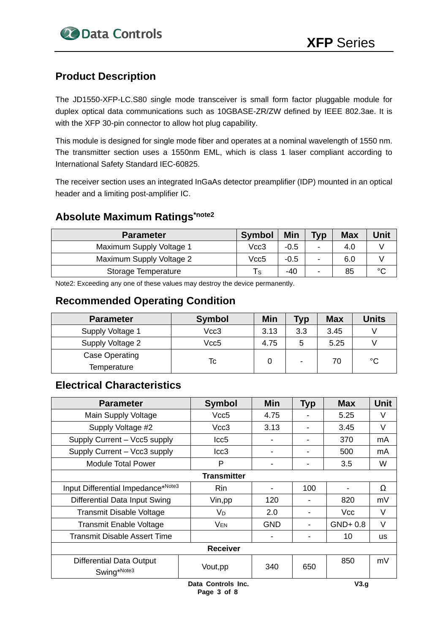# **Product Description**

The JD1550-XFP-LC.S80 single mode transceiver is small form factor pluggable module for duplex optical data communications such as 10GBASE-ZR/ZW defined by IEEE 802.3ae. It is with the XFP 30-pin connector to allow hot plug capability.

This module is designed for single mode fiber and operates at a nominal wavelength of 1550 nm. The transmitter section uses a 1550nm EML, which is class 1 laser compliant according to International Safety Standard IEC-60825.

The receiver section uses an integrated InGaAs detector preamplifier (IDP) mounted in an optical header and a limiting post-amplifier IC.

# **Absolute Maximum Ratings\*note2**

| <b>Parameter</b>         | <b>Symbol</b> | <b>Min</b> | <b>Typ</b>     | <b>Max</b> | <b>Unit</b> |
|--------------------------|---------------|------------|----------------|------------|-------------|
| Maximum Supply Voltage 1 | Vcc3          | $-0.5$     | $\blacksquare$ | 4.0        |             |
| Maximum Supply Voltage 2 | Vcc5          | $-0.5$     | $\blacksquare$ | 6.0        |             |
| Storage Temperature      | Τs            | $-40$      |                | 85         | $\sim$      |

Note2: Exceeding any one of these values may destroy the device permanently.

## **Recommended Operating Condition**

| <b>Parameter</b>              | <b>Symbol</b> | Min  | <b>Typ</b> | <b>Max</b> | <b>Units</b> |
|-------------------------------|---------------|------|------------|------------|--------------|
| Supply Voltage 1              | Vcc3          | 3.13 | 3.3        | 3.45       |              |
| Supply Voltage 2              | Vcc5          | 4.75 | 5          | 5.25       |              |
| Case Operating<br>Temperature | Tc            |      |            | 70         | $^{\circ}C$  |

# **Electrical Characteristics**

| <b>Parameter</b>                   | <b>Symbol</b>  | <b>Min</b> | <b>Typ</b>     | <b>Max</b> | <b>Unit</b> |
|------------------------------------|----------------|------------|----------------|------------|-------------|
| Main Supply Voltage                | Vcc5           | 4.75       |                | 5.25       | V           |
| Supply Voltage #2                  | Vcc3           | 3.13       |                | 3.45       | V           |
| Supply Current - Vcc5 supply       | Icc5           |            |                | 370        | mA          |
| Supply Current - Vcc3 supply       | lcc3           |            | $\blacksquare$ | 500        | mA          |
| Module Total Power                 | P              |            |                | 3.5        | W           |
| <b>Transmitter</b>                 |                |            |                |            |             |
| Input Differential Impedance*Note3 | Rin            |            | 100            |            | Ω           |
| Differential Data Input Swing      | Vin, pp        | 120        |                | 820        | mV          |
| Transmit Disable Voltage           | V <sub>D</sub> | 2.0        |                | Vcc        | V           |
| <b>Transmit Enable Voltage</b>     | $V_{EN}$       | <b>GND</b> |                | $GND+0.8$  | V           |
| Transmit Disable Assert Time       |                |            |                | 10         | <b>us</b>   |
| <b>Receiver</b>                    |                |            |                |            |             |
| Differential Data Output           |                |            |                | 850        | mV          |
| Swing*Note3                        | Vout, pp       | 340        | 650            |            |             |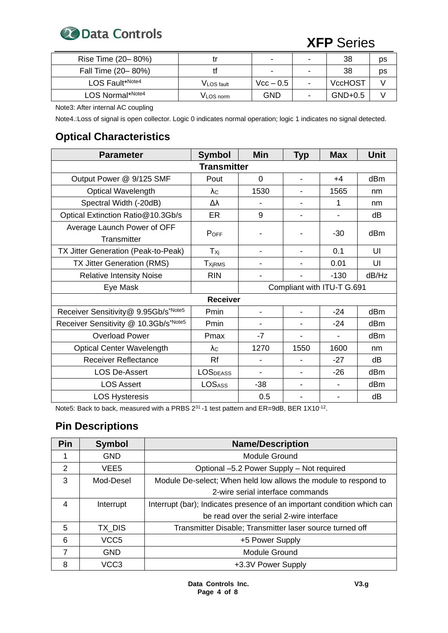

| Rise Time (20-80%) |                   | $\blacksquare$           | - | 38             | ps |
|--------------------|-------------------|--------------------------|---|----------------|----|
| Fall Time (20-80%) |                   | $\overline{\phantom{0}}$ | ۰ | 38             | ps |
| LOS Fault*Note4    | <b>VLOS</b> fault | $Vcc - 0.5$              | - | <b>VccHOST</b> |    |
| LOS Normal*Note4   | VLOS norm         | <b>GND</b>               |   | $GND+0.5$      |    |

Note3: After internal AC coupling

Note4.:Loss of signal is open collector. Logic 0 indicates normal operation; logic 1 indicates no signal detected.

# **Optical Characteristics**

| <b>Parameter</b>                           | <b>Symbol</b>             | <b>Min</b>                 | <b>Typ</b>     | <b>Max</b> | <b>Unit</b> |  |
|--------------------------------------------|---------------------------|----------------------------|----------------|------------|-------------|--|
| <b>Transmitter</b>                         |                           |                            |                |            |             |  |
| Output Power @ 9/125 SMF                   | Pout                      | $\Omega$                   | $\blacksquare$ | $+4$       | dBm         |  |
| <b>Optical Wavelength</b>                  | $\lambda$ c               | 1530                       |                | 1565       | nm          |  |
| Spectral Width (-20dB)                     | Δλ                        |                            |                | 1          | nm          |  |
| Optical Extinction Ratio@10.3Gb/s          | ER                        | 9                          |                |            | dB          |  |
| Average Launch Power of OFF<br>Transmitter | $P_{OFF}$                 |                            |                | -30        | dBm         |  |
| TX Jitter Generation (Peak-to-Peak)        | Txi                       | $\overline{\phantom{0}}$   | $\blacksquare$ | 0.1        | UI          |  |
| TX Jitter Generation (RMS)                 | <b>T</b> <sub>XjRMS</sub> |                            |                | 0.01       | UI          |  |
| <b>Relative Intensity Noise</b>            | <b>RIN</b>                |                            |                | $-130$     | dB/Hz       |  |
| Eye Mask                                   |                           | Compliant with ITU-T G.691 |                |            |             |  |
|                                            | <b>Receiver</b>           |                            |                |            |             |  |
| Receiver Sensitivity@ 9.95Gb/s*Note5       | Pmin                      |                            |                | $-24$      | dBm         |  |
| Receiver Sensitivity @ 10.3Gb/s*Note5      | Pmin                      |                            |                | $-24$      | dBm         |  |
| <b>Overload Power</b>                      | Pmax                      | -7                         |                |            | dBm         |  |
| <b>Optical Center Wavelength</b>           | $\lambda c$               | 1270                       | 1550           | 1600       | nm          |  |
| <b>Receiver Reflectance</b>                | Rf                        | $\overline{\phantom{0}}$   |                | $-27$      | dB          |  |
| <b>LOS De-Assert</b>                       | <b>LOSDEASS</b>           |                            |                | $-26$      | dBm         |  |
| <b>LOS Assert</b>                          | <b>LOSASS</b>             | $-38$                      |                |            | dBm         |  |
| <b>LOS Hysteresis</b>                      |                           | 0.5                        |                |            | dB          |  |

Note5: Back to back, measured with a PRBS  $2^{31}$ -1 test pattern and ER=9dB, BER 1X10<sup>-12</sup>.

# **Pin Descriptions**

| Pin | <b>Symbol</b>    | <b>Name/Description</b>                                                 |
|-----|------------------|-------------------------------------------------------------------------|
|     | <b>GND</b>       | <b>Module Ground</b>                                                    |
| 2   | VEE5             | Optional -5.2 Power Supply - Not required                               |
| 3   | Mod-Desel        | Module De-select; When held low allows the module to respond to         |
|     |                  | 2-wire serial interface commands                                        |
| 4   | Interrupt        | Interrupt (bar); Indicates presence of an important condition which can |
|     |                  | be read over the serial 2-wire interface                                |
| 5   | TX DIS           | Transmitter Disable; Transmitter laser source turned off                |
| 6   | VCC <sub>5</sub> | +5 Power Supply                                                         |
| 7   | <b>GND</b>       | <b>Module Ground</b>                                                    |
| 8   | VCC3             | +3.3V Power Supply                                                      |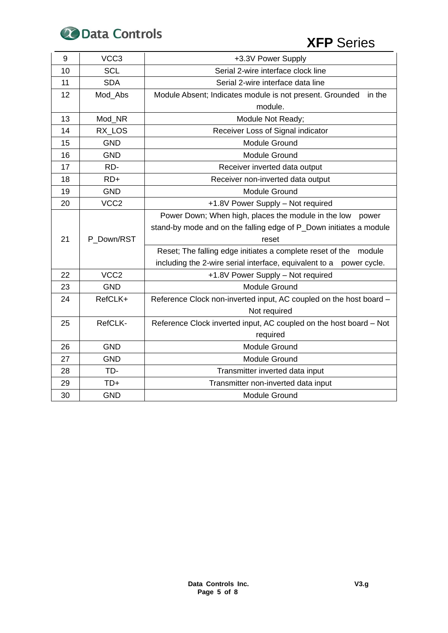

| 9  | VCC <sub>3</sub> | +3.3V Power Supply                                                     |  |  |  |
|----|------------------|------------------------------------------------------------------------|--|--|--|
| 10 | <b>SCL</b>       | Serial 2-wire interface clock line                                     |  |  |  |
| 11 | <b>SDA</b>       | Serial 2-wire interface data line                                      |  |  |  |
| 12 | Mod Abs          | Module Absent; Indicates module is not present. Grounded<br>in the     |  |  |  |
|    |                  | module.                                                                |  |  |  |
| 13 | Mod_NR           | Module Not Ready;                                                      |  |  |  |
| 14 | RX LOS           | Receiver Loss of Signal indicator                                      |  |  |  |
| 15 | <b>GND</b>       | Module Ground                                                          |  |  |  |
| 16 | <b>GND</b>       | <b>Module Ground</b>                                                   |  |  |  |
| 17 | RD-              | Receiver inverted data output                                          |  |  |  |
| 18 | $RD+$            | Receiver non-inverted data output                                      |  |  |  |
| 19 | <b>GND</b>       | <b>Module Ground</b>                                                   |  |  |  |
| 20 | VCC <sub>2</sub> | +1.8V Power Supply - Not required                                      |  |  |  |
|    |                  | Power Down; When high, places the module in the low power              |  |  |  |
|    |                  | stand-by mode and on the falling edge of P_Down initiates a module     |  |  |  |
| 21 | P Down/RST       | reset                                                                  |  |  |  |
|    |                  | Reset; The falling edge initiates a complete reset of the module       |  |  |  |
|    |                  | including the 2-wire serial interface, equivalent to a<br>power cycle. |  |  |  |
| 22 | VCC <sub>2</sub> | +1.8V Power Supply - Not required                                      |  |  |  |
| 23 | <b>GND</b>       | Module Ground                                                          |  |  |  |
| 24 | RefCLK+          | Reference Clock non-inverted input, AC coupled on the host board -     |  |  |  |
|    |                  | Not required                                                           |  |  |  |
| 25 | RefCLK-          | Reference Clock inverted input, AC coupled on the host board - Not     |  |  |  |
|    |                  | required                                                               |  |  |  |
| 26 | <b>GND</b>       | <b>Module Ground</b>                                                   |  |  |  |
| 27 | <b>GND</b>       | Module Ground                                                          |  |  |  |
| 28 | TD-              | Transmitter inverted data input                                        |  |  |  |
| 29 | TD+              | Transmitter non-inverted data input                                    |  |  |  |
| 30 | <b>GND</b>       | <b>Module Ground</b>                                                   |  |  |  |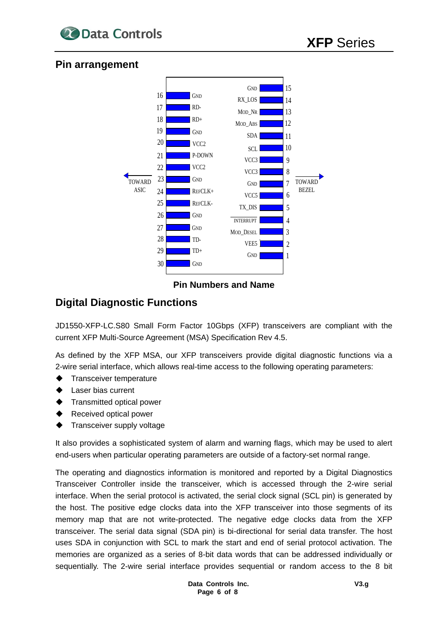

### **Pin arrangement**



### **Pin Numbers and Name**

# **Digital Diagnostic Functions**

JD1550-XFP-LC.S80 Small Form Factor 10Gbps (XFP) transceivers are compliant with the current XFP Multi-Source Agreement (MSA) Specification Rev 4.5.

As defined by the XFP MSA, our XFP transceivers provide digital diagnostic functions via a 2-wire serial interface, which allows real-time access to the following operating parameters:

- Transceiver temperature
- **Laser bias current**
- **Transmitted optical power**
- Received optical power
- Transceiver supply voltage

It also provides a sophisticated system of alarm and warning flags, which may be used to alert end-users when particular operating parameters are outside of a factory-set normal range.

The operating and diagnostics information is monitored and reported by a Digital Diagnostics Transceiver Controller inside the transceiver, which is accessed through the 2-wire serial interface. When the serial protocol is activated, the serial clock signal (SCL pin) is generated by the host. The positive edge clocks data into the XFP transceiver into those segments of its memory map that are not write-protected. The negative edge clocks data from the XFP transceiver. The serial data signal (SDA pin) is bi-directional for serial data transfer. The host uses SDA in conjunction with SCL to mark the start and end of serial protocol activation. The memories are organized as a series of 8-bit data words that can be addressed individually or sequentially. The 2-wire serial interface provides sequential or random access to the 8 bit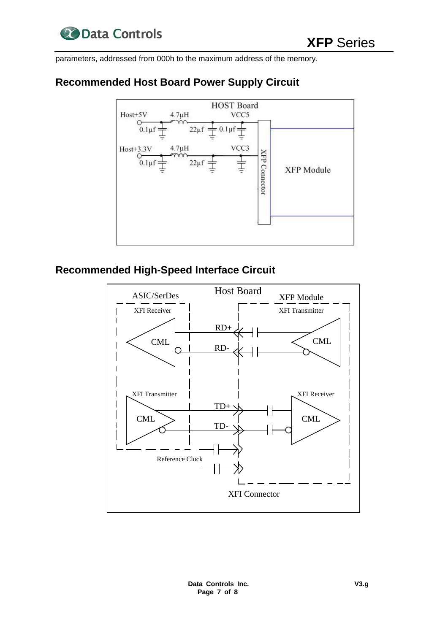

parameters, addressed from 000h to the maximum address of the memory.

# **Recommended Host Board Power Supply Circuit**



# **Recommended High-Speed Interface Circuit**